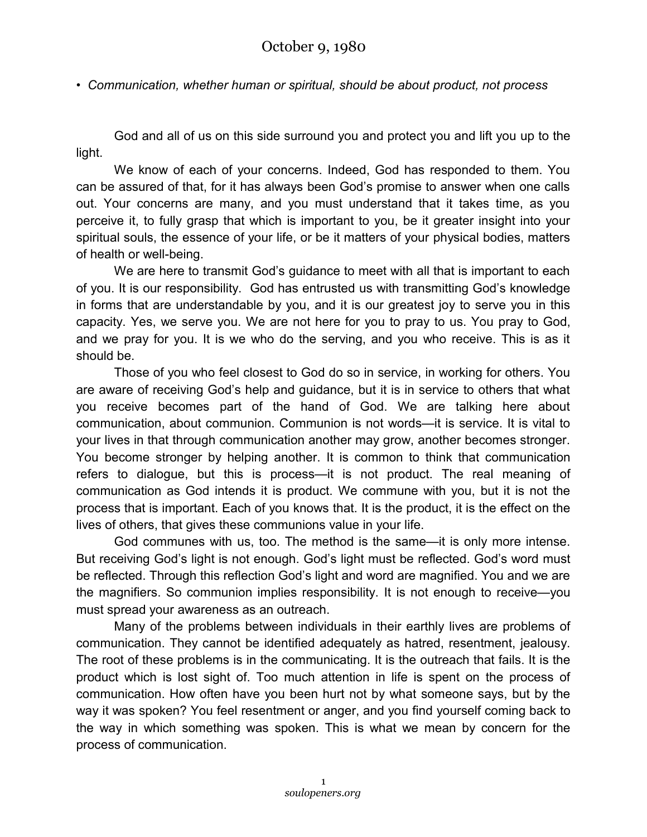*• Communication, whether human or spiritual, should be about product, not process*

God and all of us on this side surround you and protect you and lift you up to the light.

We know of each of your concerns. Indeed, God has responded to them. You can be assured of that, for it has always been God's promise to answer when one calls out. Your concerns are many, and you must understand that it takes time, as you perceive it, to fully grasp that which is important to you, be it greater insight into your spiritual souls, the essence of your life, or be it matters of your physical bodies, matters of health or well-being.

We are here to transmit God's guidance to meet with all that is important to each of you. It is our responsibility. God has entrusted us with transmitting God's knowledge in forms that are understandable by you, and it is our greatest joy to serve you in this capacity. Yes, we serve you. We are not here for you to pray to us. You pray to God, and we pray for you. It is we who do the serving, and you who receive. This is as it should be.

Those of you who feel closest to God do so in service, in working for others. You are aware of receiving God's help and guidance, but it is in service to others that what you receive becomes part of the hand of God. We are talking here about communication, about communion. Communion is not words—it is service. It is vital to your lives in that through communication another may grow, another becomes stronger. You become stronger by helping another. It is common to think that communication refers to dialogue, but this is process—it is not product. The real meaning of communication as God intends it is product. We commune with you, but it is not the process that is important. Each of you knows that. It is the product, it is the effect on the lives of others, that gives these communions value in your life.

God communes with us, too. The method is the same—it is only more intense. But receiving God's light is not enough. God's light must be reflected. God's word must be reflected. Through this reflection God's light and word are magnified. You and we are the magnifiers. So communion implies responsibility. It is not enough to receive—you must spread your awareness as an outreach.

Many of the problems between individuals in their earthly lives are problems of communication. They cannot be identified adequately as hatred, resentment, jealousy. The root of these problems is in the communicating. It is the outreach that fails. It is the product which is lost sight of. Too much attention in life is spent on the process of communication. How often have you been hurt not by what someone says, but by the way it was spoken? You feel resentment or anger, and you find yourself coming back to the way in which something was spoken. This is what we mean by concern for the process of communication.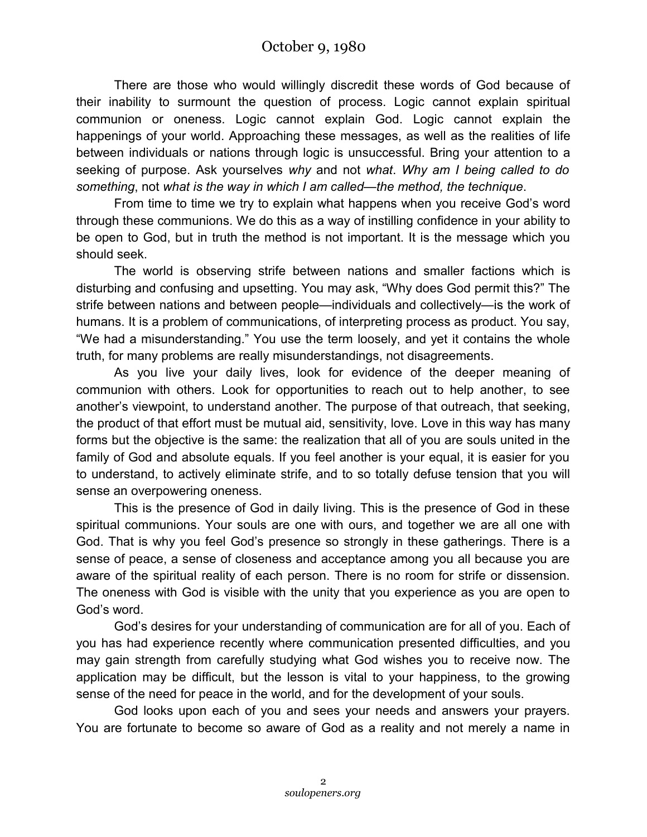There are those who would willingly discredit these words of God because of their inability to surmount the question of process. Logic cannot explain spiritual communion or oneness. Logic cannot explain God. Logic cannot explain the happenings of your world. Approaching these messages, as well as the realities of life between individuals or nations through logic is unsuccessful. Bring your attention to a seeking of purpose. Ask yourselves *why* and not *what*. *Why am I being called to do something*, not *what is the way in which I am called—the method, the technique*.

From time to time we try to explain what happens when you receive God's word through these communions. We do this as a way of instilling confidence in your ability to be open to God, but in truth the method is not important. It is the message which you should seek.

The world is observing strife between nations and smaller factions which is disturbing and confusing and upsetting. You may ask, "Why does God permit this?" The strife between nations and between people—individuals and collectively—is the work of humans. It is a problem of communications, of interpreting process as product. You say, "We had a misunderstanding." You use the term loosely, and yet it contains the whole truth, for many problems are really misunderstandings, not disagreements.

As you live your daily lives, look for evidence of the deeper meaning of communion with others. Look for opportunities to reach out to help another, to see another's viewpoint, to understand another. The purpose of that outreach, that seeking, the product of that effort must be mutual aid, sensitivity, love. Love in this way has many forms but the objective is the same: the realization that all of you are souls united in the family of God and absolute equals. If you feel another is your equal, it is easier for you to understand, to actively eliminate strife, and to so totally defuse tension that you will sense an overpowering oneness.

This is the presence of God in daily living. This is the presence of God in these spiritual communions. Your souls are one with ours, and together we are all one with God. That is why you feel God's presence so strongly in these gatherings. There is a sense of peace, a sense of closeness and acceptance among you all because you are aware of the spiritual reality of each person. There is no room for strife or dissension. The oneness with God is visible with the unity that you experience as you are open to God's word.

God's desires for your understanding of communication are for all of you. Each of you has had experience recently where communication presented difficulties, and you may gain strength from carefully studying what God wishes you to receive now. The application may be difficult, but the lesson is vital to your happiness, to the growing sense of the need for peace in the world, and for the development of your souls.

God looks upon each of you and sees your needs and answers your prayers. You are fortunate to become so aware of God as a reality and not merely a name in